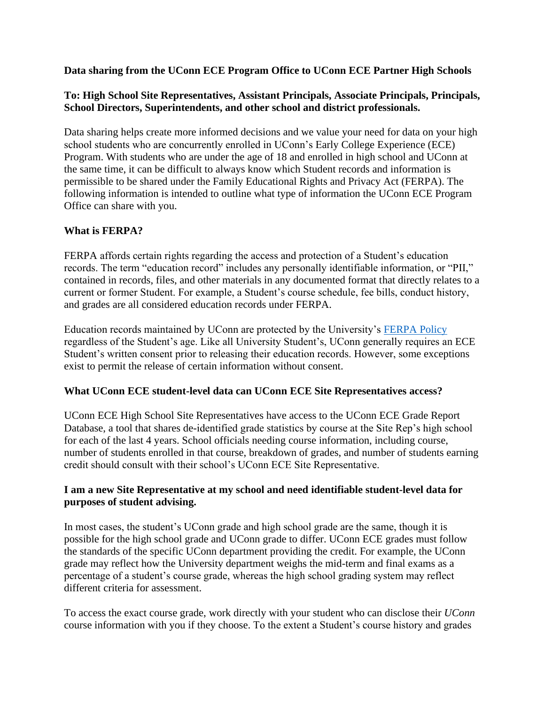### **Data sharing from the UConn ECE Program Office to UConn ECE Partner High Schools**

# **To: High School Site Representatives, Assistant Principals, Associate Principals, Principals, School Directors, Superintendents, and other school and district professionals.**

Data sharing helps create more informed decisions and we value your need for data on your high school students who are concurrently enrolled in UConn's Early College Experience (ECE) Program. With students who are under the age of 18 and enrolled in high school and UConn at the same time, it can be difficult to always know which Student records and information is permissible to be shared under the Family Educational Rights and Privacy Act (FERPA). The following information is intended to outline what type of information the UConn ECE Program Office can share with you.

# **What is FERPA?**

FERPA affords certain rights regarding the access and protection of a Student's education records. The term "education record" includes any personally identifiable information, or "PII," contained in records, files, and other materials in any documented format that directly relates to a current or former Student. For example, a Student's course schedule, fee bills, conduct history, and grades are all considered education records under FERPA.

Education records maintained by UConn are protected by the University's [FERPA Policy](https://policy.uconn.edu/2011/05/24/ferpa-policy/) regardless of the Student's age. Like all University Student's, UConn generally requires an ECE Student's written consent prior to releasing their education records. However, some exceptions exist to permit the release of certain information without consent.

### **What UConn ECE student-level data can UConn ECE Site Representatives access?**

UConn ECE High School Site Representatives have access to the UConn ECE Grade Report Database, a tool that shares de-identified grade statistics by course at the Site Rep's high school for each of the last 4 years. School officials needing course information, including course, number of students enrolled in that course, breakdown of grades, and number of students earning credit should consult with their school's UConn ECE Site Representative.

### **I am a new Site Representative at my school and need identifiable student-level data for purposes of student advising.**

In most cases, the student's UConn grade and high school grade are the same, though it is possible for the high school grade and UConn grade to differ. UConn ECE grades must follow the standards of the specific UConn department providing the credit. For example, the UConn grade may reflect how the University department weighs the mid-term and final exams as a percentage of a student's course grade, whereas the high school grading system may reflect different criteria for assessment.

To access the exact course grade, work directly with your student who can disclose their *UConn* course information with you if they choose. To the extent a Student's course history and grades